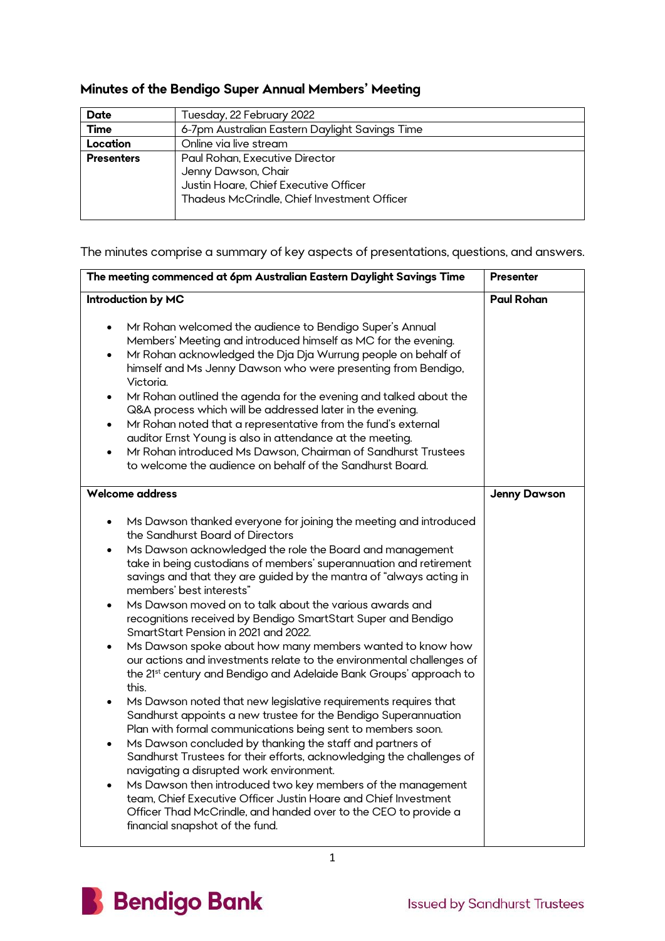## **Minutes of the Bendigo Super Annual Members' Meeting**

| Date              | Tuesday, 22 February 2022                                                                                                                     |
|-------------------|-----------------------------------------------------------------------------------------------------------------------------------------------|
| Time              | 6-7pm Australian Eastern Daylight Savings Time                                                                                                |
| Location          | Online via live stream                                                                                                                        |
| <b>Presenters</b> | Paul Rohan, Executive Director<br>Jenny Dawson, Chair<br>Justin Hoare, Chief Executive Officer<br>Thadeus McCrindle, Chief Investment Officer |

The minutes comprise a summary of key aspects of presentations, questions, and answers.

| The meeting commenced at 6pm Australian Eastern Daylight Savings Time                                                                                                                                                                                                                                                                                                                                                                                                                                                                                                                                                                                                                                                                                                                                                                                                                                                                                                                                                                                                                                                                                                                                                                                                                                                                                                                                                 | Presenter           |
|-----------------------------------------------------------------------------------------------------------------------------------------------------------------------------------------------------------------------------------------------------------------------------------------------------------------------------------------------------------------------------------------------------------------------------------------------------------------------------------------------------------------------------------------------------------------------------------------------------------------------------------------------------------------------------------------------------------------------------------------------------------------------------------------------------------------------------------------------------------------------------------------------------------------------------------------------------------------------------------------------------------------------------------------------------------------------------------------------------------------------------------------------------------------------------------------------------------------------------------------------------------------------------------------------------------------------------------------------------------------------------------------------------------------------|---------------------|
| Introduction by MC                                                                                                                                                                                                                                                                                                                                                                                                                                                                                                                                                                                                                                                                                                                                                                                                                                                                                                                                                                                                                                                                                                                                                                                                                                                                                                                                                                                                    | <b>Paul Rohan</b>   |
| Mr Rohan welcomed the audience to Bendigo Super's Annual<br>Members' Meeting and introduced himself as MC for the evening.<br>Mr Rohan acknowledged the Dja Dja Wurrung people on behalf of<br>$\bullet$<br>himself and Ms Jenny Dawson who were presenting from Bendigo,<br>Victoria.<br>Mr Rohan outlined the agenda for the evening and talked about the<br>$\bullet$<br>Q&A process which will be addressed later in the evening.<br>Mr Rohan noted that a representative from the fund's external<br>$\bullet$<br>auditor Ernst Young is also in attendance at the meeting.<br>Mr Rohan introduced Ms Dawson, Chairman of Sandhurst Trustees<br>to welcome the audience on behalf of the Sandhurst Board.                                                                                                                                                                                                                                                                                                                                                                                                                                                                                                                                                                                                                                                                                                        |                     |
| <b>Welcome address</b>                                                                                                                                                                                                                                                                                                                                                                                                                                                                                                                                                                                                                                                                                                                                                                                                                                                                                                                                                                                                                                                                                                                                                                                                                                                                                                                                                                                                | <b>Jenny Dawson</b> |
| Ms Dawson thanked everyone for joining the meeting and introduced<br>the Sandhurst Board of Directors<br>Ms Dawson acknowledged the role the Board and management<br>$\bullet$<br>take in being custodians of members' superannuation and retirement<br>savings and that they are guided by the mantra of "always acting in<br>members' best interests"<br>Ms Dawson moved on to talk about the various awards and<br>recognitions received by Bendigo SmartStart Super and Bendigo<br>SmartStart Pension in 2021 and 2022.<br>Ms Dawson spoke about how many members wanted to know how<br>our actions and investments relate to the environmental challenges of<br>the 21 <sup>st</sup> century and Bendigo and Adelaide Bank Groups' approach to<br>this.<br>Ms Dawson noted that new legislative requirements requires that<br>$\bullet$<br>Sandhurst appoints a new trustee for the Bendigo Superannuation<br>Plan with formal communications being sent to members soon.<br>Ms Dawson concluded by thanking the staff and partners of<br>$\bullet$<br>Sandhurst Trustees for their efforts, acknowledging the challenges of<br>navigating a disrupted work environment.<br>Ms Dawson then introduced two key members of the management<br>team, Chief Executive Officer Justin Hoare and Chief Investment<br>Officer Thad McCrindle, and handed over to the CEO to provide a<br>financial snapshot of the fund. |                     |

1

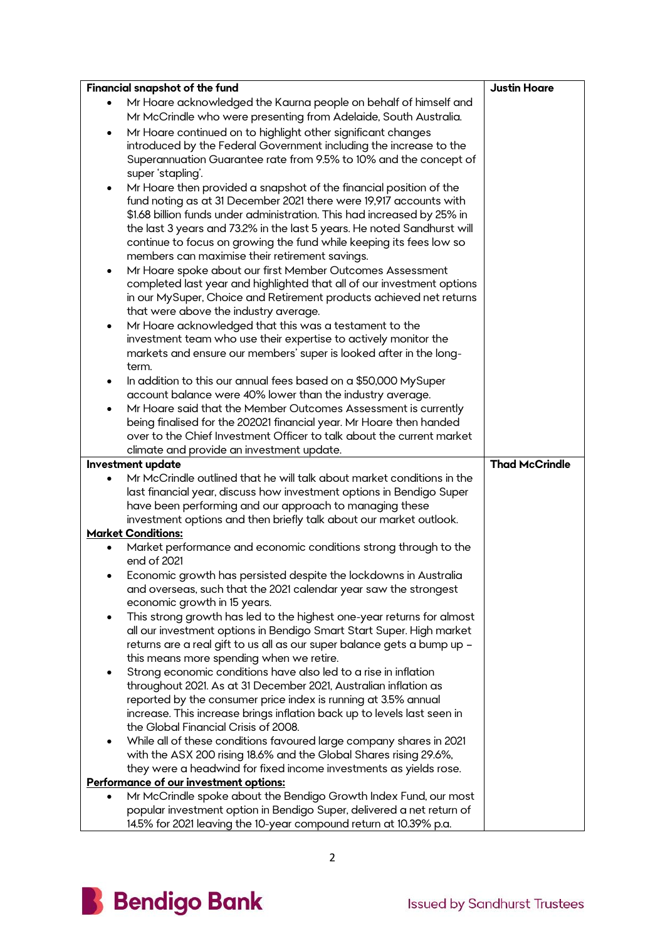|           | Financial snapshot of the fund                                                                                                             | <b>Justin Hoare</b>   |
|-----------|--------------------------------------------------------------------------------------------------------------------------------------------|-----------------------|
|           | Mr Hoare acknowledged the Kaurna people on behalf of himself and                                                                           |                       |
|           | Mr McCrindle who were presenting from Adelaide, South Australia.                                                                           |                       |
| ٠         | Mr Hoare continued on to highlight other significant changes                                                                               |                       |
|           | introduced by the Federal Government including the increase to the                                                                         |                       |
|           | Superannuation Guarantee rate from 9.5% to 10% and the concept of                                                                          |                       |
|           | super 'stapling'.                                                                                                                          |                       |
| ٠         | Mr Hoare then provided a snapshot of the financial position of the                                                                         |                       |
|           | fund noting as at 31 December 2021 there were 19,917 accounts with                                                                         |                       |
|           | \$1.68 billion funds under administration. This had increased by 25% in                                                                    |                       |
|           | the last 3 years and 73.2% in the last 5 years. He noted Sandhurst will                                                                    |                       |
|           | continue to focus on growing the fund while keeping its fees low so                                                                        |                       |
|           | members can maximise their retirement savings.                                                                                             |                       |
| ٠         | Mr Hoare spoke about our first Member Outcomes Assessment                                                                                  |                       |
|           | completed last year and highlighted that all of our investment options                                                                     |                       |
|           | in our MySuper, Choice and Retirement products achieved net returns                                                                        |                       |
|           | that were above the industry average.                                                                                                      |                       |
| $\bullet$ | Mr Hoare acknowledged that this was a testament to the                                                                                     |                       |
|           | investment team who use their expertise to actively monitor the                                                                            |                       |
|           | markets and ensure our members' super is looked after in the long-                                                                         |                       |
|           | term.                                                                                                                                      |                       |
| $\bullet$ | In addition to this our annual fees based on a \$50,000 MySuper                                                                            |                       |
|           | account balance were 40% lower than the industry average.                                                                                  |                       |
|           | Mr Hoare said that the Member Outcomes Assessment is currently                                                                             |                       |
|           | being finalised for the 202021 financial year. Mr Hoare then handed                                                                        |                       |
|           | over to the Chief Investment Officer to talk about the current market                                                                      |                       |
|           |                                                                                                                                            |                       |
|           | climate and provide an investment update.                                                                                                  |                       |
|           | Investment update                                                                                                                          | <b>Thad McCrindle</b> |
| $\bullet$ | Mr McCrindle outlined that he will talk about market conditions in the                                                                     |                       |
|           | last financial year, discuss how investment options in Bendigo Super                                                                       |                       |
|           | have been performing and our approach to managing these                                                                                    |                       |
|           | investment options and then briefly talk about our market outlook.                                                                         |                       |
|           | <b>Market Conditions:</b>                                                                                                                  |                       |
| ٠         | Market performance and economic conditions strong through to the                                                                           |                       |
|           | end of 2021                                                                                                                                |                       |
|           | Economic growth has persisted despite the lockdowns in Australia                                                                           |                       |
|           | and overseas, such that the 2021 calendar year saw the strongest                                                                           |                       |
|           | economic growth in 15 years.                                                                                                               |                       |
|           | This strong growth has led to the highest one-year returns for almost                                                                      |                       |
|           | all our investment options in Bendigo Smart Start Super. High market                                                                       |                       |
|           | returns are a real gift to us all as our super balance gets a bump up -<br>this means more spending when we retire.                        |                       |
| ٠         | Strong economic conditions have also led to a rise in inflation                                                                            |                       |
|           | throughout 2021. As at 31 December 2021, Australian inflation as                                                                           |                       |
|           | reported by the consumer price index is running at 3.5% annual                                                                             |                       |
|           | increase. This increase brings inflation back up to levels last seen in                                                                    |                       |
|           | the Global Financial Crisis of 2008.                                                                                                       |                       |
| ٠         | While all of these conditions favoured large company shares in 2021                                                                        |                       |
|           | with the ASX 200 rising 18.6% and the Global Shares rising 29.6%,                                                                          |                       |
|           | they were a headwind for fixed income investments as yields rose.                                                                          |                       |
|           | Performance of our investment options:                                                                                                     |                       |
|           | Mr McCrindle spoke about the Bendigo Growth Index Fund, our most                                                                           |                       |
|           | popular investment option in Bendigo Super, delivered a net return of<br>14.5% for 2021 leaving the 10-year compound return at 10.39% p.a. |                       |

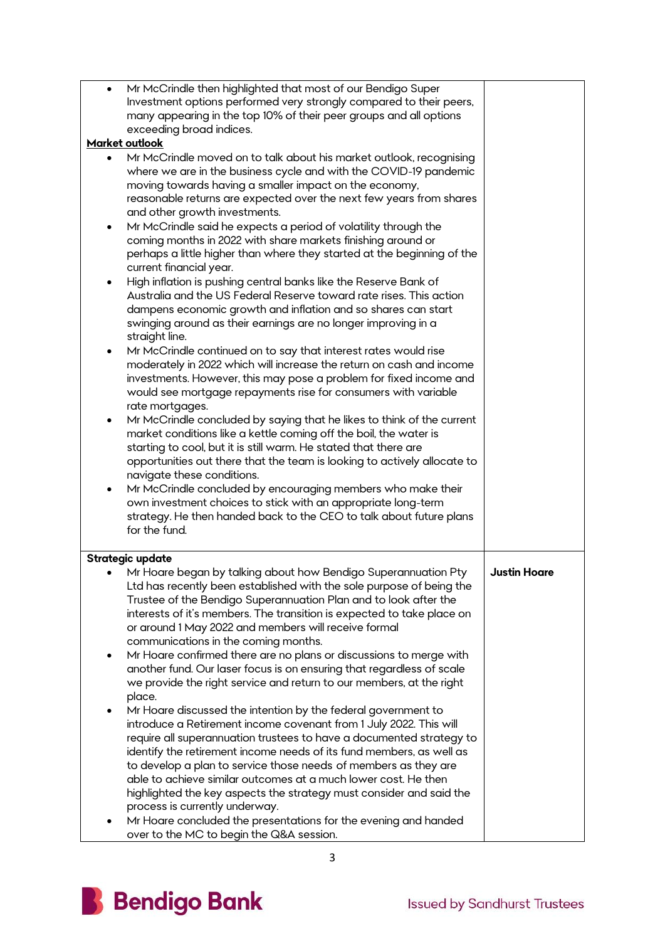| $\bullet$<br>$\bullet$<br>٠<br>٠ | Mr McCrindle then highlighted that most of our Bendigo Super<br>Investment options performed very strongly compared to their peers,<br>many appearing in the top 10% of their peer groups and all options<br>exceeding broad indices.<br>Market outlook<br>Mr McCrindle moved on to talk about his market outlook, recognising<br>where we are in the business cycle and with the COVID-19 pandemic<br>moving towards having a smaller impact on the economy,<br>reasonable returns are expected over the next few years from shares<br>and other growth investments.<br>Mr McCrindle said he expects a period of volatility through the<br>coming months in 2022 with share markets finishing around or<br>perhaps a little higher than where they started at the beginning of the<br>current financial year.<br>High inflation is pushing central banks like the Reserve Bank of<br>Australia and the US Federal Reserve toward rate rises. This action                                                                                                                                                                                                  |                     |
|----------------------------------|------------------------------------------------------------------------------------------------------------------------------------------------------------------------------------------------------------------------------------------------------------------------------------------------------------------------------------------------------------------------------------------------------------------------------------------------------------------------------------------------------------------------------------------------------------------------------------------------------------------------------------------------------------------------------------------------------------------------------------------------------------------------------------------------------------------------------------------------------------------------------------------------------------------------------------------------------------------------------------------------------------------------------------------------------------------------------------------------------------------------------------------------------------|---------------------|
| ٠<br>٠<br>$\bullet$              | dampens economic growth and inflation and so shares can start<br>swinging around as their earnings are no longer improving in a<br>straight line.<br>Mr McCrindle continued on to say that interest rates would rise<br>moderately in 2022 which will increase the return on cash and income<br>investments. However, this may pose a problem for fixed income and<br>would see mortgage repayments rise for consumers with variable<br>rate mortgages.<br>Mr McCrindle concluded by saying that he likes to think of the current<br>market conditions like a kettle coming off the boil, the water is<br>starting to cool, but it is still warm. He stated that there are<br>opportunities out there that the team is looking to actively allocate to<br>navigate these conditions.<br>Mr McCrindle concluded by encouraging members who make their<br>own investment choices to stick with an appropriate long-term<br>strategy. He then handed back to the CEO to talk about future plans<br>for the fund.                                                                                                                                              |                     |
|                                  | Strategic update                                                                                                                                                                                                                                                                                                                                                                                                                                                                                                                                                                                                                                                                                                                                                                                                                                                                                                                                                                                                                                                                                                                                           |                     |
| ٠<br>٠<br>٠                      | Mr Hoare began by talking about how Bendigo Superannuation Pty<br>Ltd has recently been established with the sole purpose of being the<br>Trustee of the Bendigo Superannuation Plan and to look after the<br>interests of it's members. The transition is expected to take place on<br>or around 1 May 2022 and members will receive formal<br>communications in the coming months.<br>Mr Hoare confirmed there are no plans or discussions to merge with<br>another fund. Our laser focus is on ensuring that regardless of scale<br>we provide the right service and return to our members, at the right<br>place.<br>Mr Hoare discussed the intention by the federal government to<br>introduce a Retirement income covenant from 1 July 2022. This will<br>require all superannuation trustees to have a documented strategy to<br>identify the retirement income needs of its fund members, as well as<br>to develop a plan to service those needs of members as they are<br>able to achieve similar outcomes at a much lower cost. He then<br>highlighted the key aspects the strategy must consider and said the<br>process is currently underway. | <b>Justin Hoare</b> |
|                                  | Mr Hoare concluded the presentations for the evening and handed<br>over to the MC to begin the Q&A session.                                                                                                                                                                                                                                                                                                                                                                                                                                                                                                                                                                                                                                                                                                                                                                                                                                                                                                                                                                                                                                                |                     |

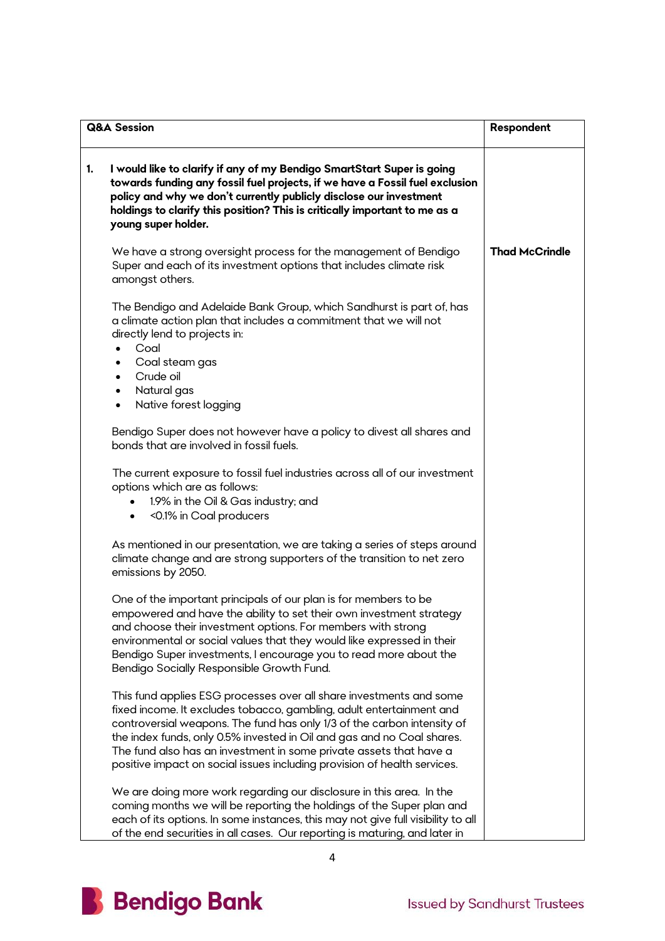| <b>Q&amp;A Session</b>                                                                                                                                                                                                                                                                                                                                                                                                                             | Respondent            |
|----------------------------------------------------------------------------------------------------------------------------------------------------------------------------------------------------------------------------------------------------------------------------------------------------------------------------------------------------------------------------------------------------------------------------------------------------|-----------------------|
| I would like to clarify if any of my Bendigo SmartStart Super is going<br>1.<br>towards funding any fossil fuel projects, if we have a Fossil fuel exclusion<br>policy and why we don't currently publicly disclose our investment<br>holdings to clarify this position? This is critically important to me as a<br>young super holder.                                                                                                            |                       |
| We have a strong oversight process for the management of Bendigo<br>Super and each of its investment options that includes climate risk<br>amongst others.                                                                                                                                                                                                                                                                                         | <b>Thad McCrindle</b> |
| The Bendigo and Adelaide Bank Group, which Sandhurst is part of, has<br>a climate action plan that includes a commitment that we will not<br>directly lend to projects in:<br>Coal<br>$\bullet$<br>Coal steam gas<br>٠<br>Crude oil<br>$\bullet$<br>Natural gas<br>$\bullet$<br>Native forest logging<br>$\bullet$                                                                                                                                 |                       |
| Bendigo Super does not however have a policy to divest all shares and<br>bonds that are involved in fossil fuels.                                                                                                                                                                                                                                                                                                                                  |                       |
| The current exposure to fossil fuel industries across all of our investment<br>options which are as follows:<br>1.9% in the Oil & Gas industry; and<br><0.1% in Coal producers<br>$\bullet$                                                                                                                                                                                                                                                        |                       |
| As mentioned in our presentation, we are taking a series of steps around<br>climate change and are strong supporters of the transition to net zero<br>emissions by 2050.                                                                                                                                                                                                                                                                           |                       |
| One of the important principals of our plan is for members to be<br>empowered and have the ability to set their own investment strategy<br>and choose their investment options. For members with strong<br>environmental or social values that they would like expressed in their<br>Bendigo Super investments, I encourage you to read more about the<br>Bendigo Socially Responsible Growth Fund.                                                |                       |
| This fund applies ESG processes over all share investments and some<br>fixed income. It excludes tobacco, gambling, adult entertainment and<br>controversial weapons. The fund has only 1/3 of the carbon intensity of<br>the index funds, only 0.5% invested in Oil and gas and no Coal shares.<br>The fund also has an investment in some private assets that have a<br>positive impact on social issues including provision of health services. |                       |
| We are doing more work regarding our disclosure in this area. In the<br>coming months we will be reporting the holdings of the Super plan and<br>each of its options. In some instances, this may not give full visibility to all<br>of the end securities in all cases. Our reporting is maturing, and later in                                                                                                                                   |                       |

 $\overline{\mathbf{4}}$ 

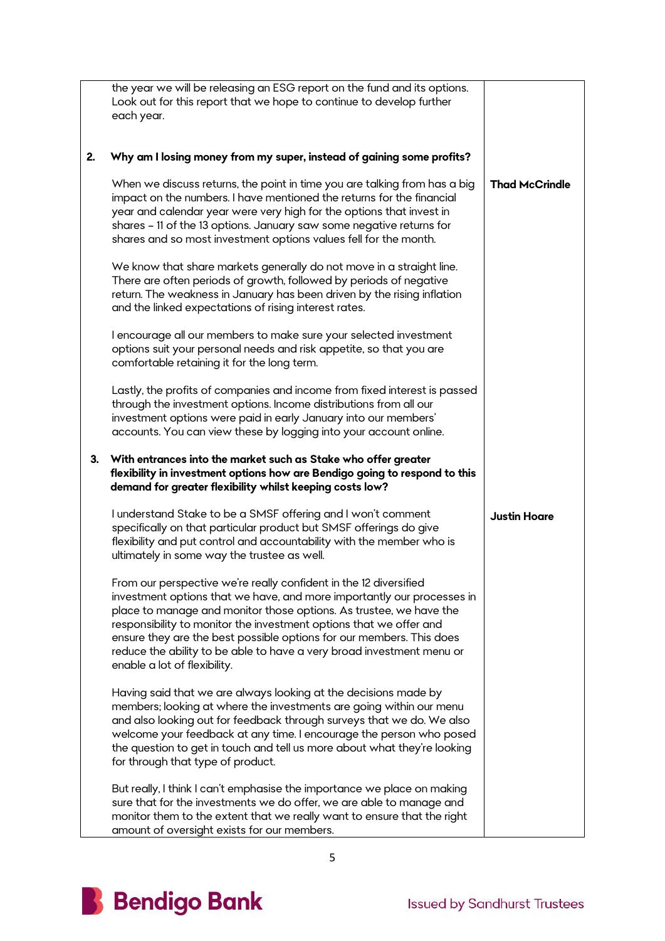|    | the year we will be releasing an ESG report on the fund and its options.<br>Look out for this report that we hope to continue to develop further<br>each year.                                                                                                                                                                                                                                                                                                           |                       |
|----|--------------------------------------------------------------------------------------------------------------------------------------------------------------------------------------------------------------------------------------------------------------------------------------------------------------------------------------------------------------------------------------------------------------------------------------------------------------------------|-----------------------|
| 2. | Why am I losing money from my super, instead of gaining some profits?                                                                                                                                                                                                                                                                                                                                                                                                    |                       |
|    | When we discuss returns, the point in time you are talking from has a big<br>impact on the numbers. I have mentioned the returns for the financial<br>year and calendar year were very high for the options that invest in<br>shares - 11 of the 13 options. January saw some negative returns for<br>shares and so most investment options values fell for the month.                                                                                                   | <b>Thad McCrindle</b> |
|    | We know that share markets generally do not move in a straight line.<br>There are often periods of growth, followed by periods of negative<br>return. The weakness in January has been driven by the rising inflation<br>and the linked expectations of rising interest rates.                                                                                                                                                                                           |                       |
|    | I encourage all our members to make sure your selected investment<br>options suit your personal needs and risk appetite, so that you are<br>comfortable retaining it for the long term.                                                                                                                                                                                                                                                                                  |                       |
|    | Lastly, the profits of companies and income from fixed interest is passed<br>through the investment options. Income distributions from all our<br>investment options were paid in early January into our members'<br>accounts. You can view these by logging into your account online.                                                                                                                                                                                   |                       |
| 3. | With entrances into the market such as Stake who offer greater<br>flexibility in investment options how are Bendigo going to respond to this<br>demand for greater flexibility whilst keeping costs low?                                                                                                                                                                                                                                                                 |                       |
|    | I understand Stake to be a SMSF offering and I won't comment<br>specifically on that particular product but SMSF offerings do give<br>flexibility and put control and accountability with the member who is<br>ultimately in some way the trustee as well.                                                                                                                                                                                                               | <b>Justin Hoare</b>   |
|    | From our perspective we're really confident in the 12 diversified<br>investment options that we have, and more importantly our processes in<br>place to manage and monitor those options. As trustee, we have the<br>responsibility to monitor the investment options that we offer and<br>ensure they are the best possible options for our members. This does<br>reduce the ability to be able to have a very broad investment menu or<br>enable a lot of flexibility. |                       |
|    | Having said that we are always looking at the decisions made by<br>members; looking at where the investments are going within our menu<br>and also looking out for feedback through surveys that we do. We also<br>welcome your feedback at any time. I encourage the person who posed<br>the question to get in touch and tell us more about what they're looking<br>for through that type of product.                                                                  |                       |
|    | But really, I think I can't emphasise the importance we place on making<br>sure that for the investments we do offer, we are able to manage and<br>monitor them to the extent that we really want to ensure that the right<br>amount of oversight exists for our members.                                                                                                                                                                                                |                       |